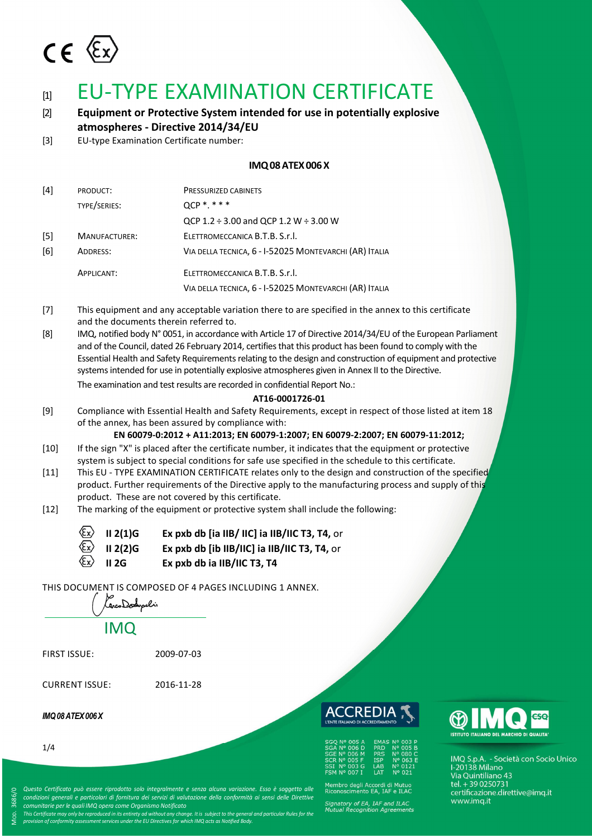

# [1] EU-TYPE EXAMINATION CERTIFICATE

[2] **Equipment or Protective System intended for use in potentially explosive atmospheres - Directive 2014/34/EU**

[3] EU-type Examination Certificate number:

# **IMQ08ATEX006X**

| [4] | PRODUCT:             | PRESSURIZED CABINETS                                   |  |  |
|-----|----------------------|--------------------------------------------------------|--|--|
|     | TYPE/SERIES:         | $QCP$ *.***                                            |  |  |
|     |                      | QCP 1.2 $\div$ 3.00 and QCP 1.2 W $\div$ 3.00 W        |  |  |
| [5] | <b>MANUFACTURER:</b> | ELETTROMECCANICA B.T.B. S.r.I.                         |  |  |
| [6] | ADDRESS:             | VIA DELLA TECNICA, 6 - I-52025 MONTEVARCHI (AR) ITALIA |  |  |
|     | APPLICANT:           | ELETTROMECCANICA B.T.B. S.r.l.                         |  |  |
|     |                      | VIA DELLA TECNICA, 6 - I-52025 MONTEVARCHI (AR) ITALIA |  |  |

- [7] This equipment and any acceptable variation there to are specified in the annex to this certificate and the documents therein referred to.
- [8] IMQ, notified body N° 0051, in accordance with Article 17 of Directive 2014/34/EU of the European Parliament and of the Council, dated 26 February 2014, certifies that this product has been found to comply with the Essential Health and Safety Requirements relating to the design and construction of equipment and protective systems intended for use in potentially explosive atmospheres given in Annex II to the Directive. The examination and test results are recorded in confidential Report No.:

# **AT16-0001726-01**

[9] Compliance with Essential Health and Safety Requirements, except in respect of those listed at item 18 of the annex, has been assured by compliance with:

**EN 60079-0:2012 + A11:2013; EN 60079-1:2007; EN 60079-2:2007; EN 60079-11:2012;** 

- [10] If the sign "X" is placed after the certificate number, it indicates that the equipment or protective system is subject to special conditions for safe use specified in the schedule to this certificate.
- [11] This EU TYPE EXAMINATION CERTIFICATE relates only to the design and construction of the specified product. Further requirements of the Directive apply to the manufacturing process and supply of this product. These are not covered by this certificate.
- [12] The marking of the equipment or protective system shall include the following:

|                                         | $\langle \xi_x \rangle$ II 2(1)G            | Ex pxb db [ia IIB/ IIC] ia IIB/IIC T3, T4, or |
|-----------------------------------------|---------------------------------------------|-----------------------------------------------|
|                                         | $\langle \overline{\xi_x} \rangle$ II 2(2)G | Ex pxb db [ib IIB/IIC] ia IIB/IIC T3, T4, or  |
| $\langle \epsilon_{\mathbf{x}} \rangle$ | II 2G                                       | Ex pxb db ia IIB/IIC T3, T4                   |

THIS DOCUMENT IS COMPOSED OF 4 PAGES INCLUDING 1 ANNEX.

| 1 CarcoDodypolis    |            |
|---------------------|------------|
| <b>IMQ</b>          |            |
| <b>FIRST ISSUE:</b> | 2009-07-03 |

CURRENT ISSUE: 2016-11-28

## *IMQ08ATEX006X*

1/4

⋝

OD. 3686/0

*Questo Certificato può essere riprodotto solo integralmente e senza alcuna variazione. Esso è soggetto alle condizioni generali e particolari di fornitura dei servizi di valutazione della conformità ai sensi delle Direttive* 

*comunitarie per le quali IMQ opera come Organismo Notificato This Certificate may only be reproduced in its entirety ad without any change. It is subject to the general and particular Rules for the* 

*provision of conformity assessment services under the EU Directives for which IMQ acts as Notified Body.*

ACCREDI

| <b>SGO Nº 005 A</b> | <b>EMAS Nº 003 P</b>   |
|---------------------|------------------------|
| <b>SGA Nº 006 D</b> | N° 005 B<br><b>PRD</b> |
| SGE Nº 006 M        | N° 080 C<br><b>PRS</b> |
| <b>SCR Nº 005 F</b> | Nº 063 E<br><b>ISP</b> |
| <b>SSI Nº 003 G</b> | Nº 0121<br>LAB         |
| <b>FSM Nº 007 I</b> | Nº 021<br>I AT         |

Membro degli Accordi di Mutuo<br>Riconoscimento EA, IAF e ILAC

Signatory of EA, IAF and ILAC<br>Mutual Recognition Agreemen



IMQ S.p.A. - Società con Socio Unico 1112 5.p.r.u<br>1-20138 Milano<br>Via Quintiliano 43 tel. + 39 0250731 certificazione.direttive@imq.it www.imq.it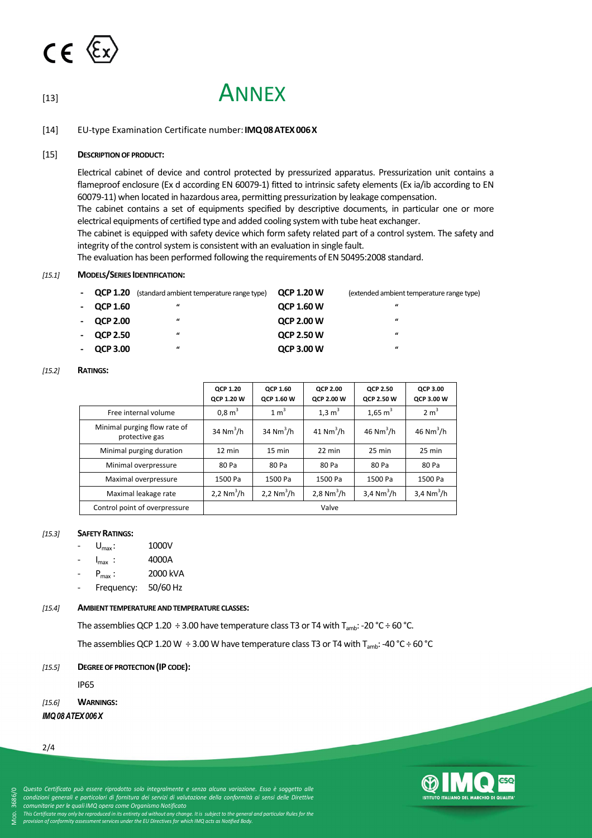

# [13] ANNEX

[14] EU-type Examination Certificate number:**IMQ08ATEX006X**

### [15] **DESCRIPTION OF PRODUCT:**

Electrical cabinet of device and control protected by pressurized apparatus. Pressurization unit contains a flameproof enclosure (Ex d according EN 60079-1) fitted to intrinsic safety elements (Ex ia/ib according to EN 60079-11) when located in hazardous area, permitting pressurization by leakage compensation.

The cabinet contains a set of equipments specified by descriptive documents, in particular one or more electrical equipments of certified type and added cooling system with tube heat exchanger.

The cabinet is equipped with safety device which form safety related part of a control system. The safety and integrity of the control system is consistent with an evaluation in single fault.

The evaluation has been performed following the requirements of EN 50495:2008 standard.

#### *[15.1]* **MODELS/SERIES IDENTIFICATION:**

| $-$ QCP 1.20    | (standard ambient temperature range type) | <b>QCP 1.20 W</b> | (extended ambient temperature range type) |
|-----------------|-------------------------------------------|-------------------|-------------------------------------------|
| $-$ QCP 1.60    | $\boldsymbol{u}$                          | <b>QCP 1.60 W</b> | $\boldsymbol{u}$                          |
| $-$ QCP 2.00    | $\boldsymbol{\mu}$                        | <b>QCP 2.00 W</b> | $\boldsymbol{\mu}$                        |
| <b>QCP 2.50</b> | $\boldsymbol{\mu}$                        | <b>QCP 2.50 W</b> | $\boldsymbol{\mu}$                        |
| $-$ QCP 3.00    | $\boldsymbol{\mu}$                        | <b>QCP 3.00 W</b> | $\boldsymbol{\mu}$                        |

#### *[15.2]* **RATINGS:**

|                                                | <b>OCP 1.20</b><br><b>QCP 1.20 W</b> | <b>OCP 1.60</b><br><b>OCP 1.60 W</b> | <b>QCP 2.00</b><br><b>QCP 2.00 W</b> | <b>OCP 2.50</b><br><b>QCP 2.50 W</b> | QCP 3.00<br>QCP 3.00 W   |
|------------------------------------------------|--------------------------------------|--------------------------------------|--------------------------------------|--------------------------------------|--------------------------|
| Free internal volume                           | 0.8 m <sup>3</sup>                   | $1 \text{ m}^3$                      | $1.3 \text{ m}^3$                    | $1,65 \text{ m}^3$                   | 2 m <sup>3</sup>         |
| Minimal purging flow rate of<br>protective gas | 34 $Nm^3/h$                          | 34 $Nm^3/h$                          | 41 $Nm^3/h$                          | $46$ Nm <sup>3</sup> /h              | $46$ Nm <sup>3</sup> /h  |
| Minimal purging duration                       | 12 min                               | $15 \text{ min}$                     | 22 min                               | $25 \text{ min}$                     | 25 min                   |
| Minimal overpressure                           | 80 Pa                                | 80 Pa                                | 80 Pa                                | 80 Pa                                | 80 Pa                    |
| Maximal overpressure                           | 1500 Pa                              | 1500 Pa                              | 1500 Pa                              | 1500 Pa                              | 1500 Pa                  |
| Maximal leakage rate                           | 2,2 $Nm^3/h$                         | 2,2 $Nm^3/h$                         | 2,8 $Nm^3/h$                         | 3,4 $Nm^3/h$                         | $3,4$ Nm <sup>3</sup> /h |
| Control point of overpressure                  |                                      |                                      | Valve                                |                                      |                          |

#### *[15.3]* **SAFETY RATINGS:**

- $U_{\text{max}}$ : 1000V
- $I_{\text{max}}$  : 4000A
- $P_{\text{max}}$  : 2000 kVA
- Frequency: 50/60 Hz

#### *[15.4]* **AMBIENT TEMPERATURE AND TEMPERATURE CLASSES:**

The assemblies QCP 1.20  $\div$  3.00 have temperature class T3 or T4 with T<sub>amb</sub>: -20 °C  $\div$  60 °C.

The assemblies QCP 1.20 W  $\div$  3.00 W have temperature class T3 or T4 with T<sub>amb</sub>: -40 °C  $\div$  60 °C

### *[15.5]* **DEGREE OF PROTECTION (IP CODE):**

IP65

## *[15.6]* **WARNINGS:**

*IMQ08ATEX006X*

2/4

⋝

OD. 3686/0

*Questo Certificato può essere riprodotto solo integralmente e senza alcuna variazione. Esso è soggetto alle condizioni generali e particolari di fornitura dei servizi di valutazione della conformità ai sensi delle Direttive* 

*comunitarie per le quali IMQ opera come Organismo Notificato This Certificate may only be reproduced in its entirety ad without any change. It is subject to the general and particular Rules for the provision of conformity assessment services under the EU Directives for which IMQ acts as Notified Body.*

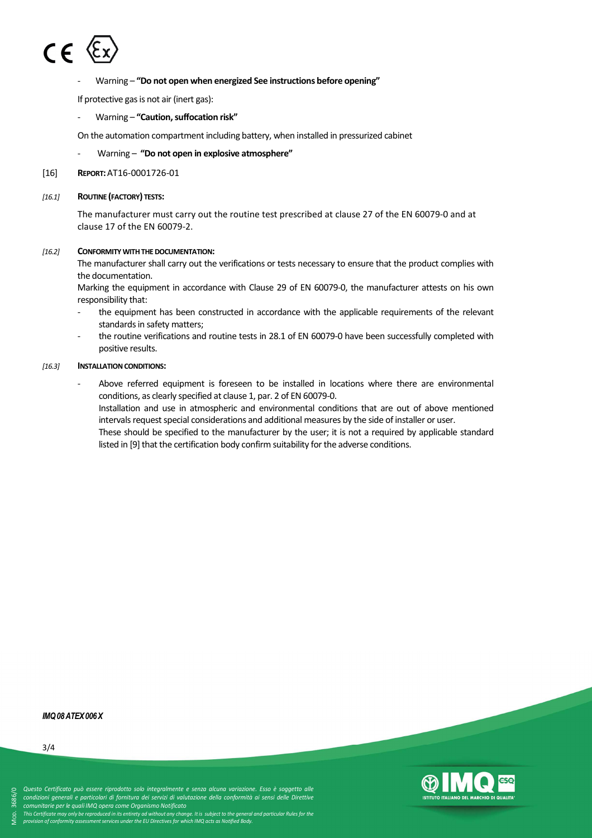

## - Warning – **"Do not open when energized See instructions before opening"**

If protective gas is not air (inert gas):

- Warning – **"Caution, suffocation risk"**

On the automation compartment including battery, when installed in pressurized cabinet

- Warning **"Do not open in explosive atmosphere"**
- [16] **REPORT:**AT16-0001726-01

## *[16.1]* **ROUTINE (FACTORY) TESTS:**

The manufacturer must carry out the routine test prescribed at clause 27 of the EN 60079-0 and at clause 17 of the EN 60079-2.

## *[16.2]* **CONFORMITY WITH THE DOCUMENTATION:**

The manufacturer shall carry out the verifications or tests necessary to ensure that the product complies with the documentation.

Marking the equipment in accordance with Clause 29 of EN 60079-0, the manufacturer attests on his own responsibility that:

- the equipment has been constructed in accordance with the applicable requirements of the relevant standards in safety matters;
- the routine verifications and routine tests in 28.1 of EN 60079-0 have been successfully completed with positive results.

### *[16.3]* **INSTALLATION CONDITIONS:**

Above referred equipment is foreseen to be installed in locations where there are environmental conditions, as clearly specified at clause 1, par. 2 of EN 60079-0.

Installation and use in atmospheric and environmental conditions that are out of above mentioned intervals request special considerations and additional measures by the side of installer or user.

These should be specified to the manufacturer by the user; it is not a required by applicable standard listed in [9] that the certification body confirm suitability for the adverse conditions.

#### *IMQ08ATEX006X*

⋝

OD. 3686/0



*comunitarie per le quali IMQ opera come Organismo Notificato This Certificate may only be reproduced in its entirety ad without any change. It is subject to the general and particular Rules for the provision of conformity assessment services under the EU Directives for which IMQ acts as Notified Body.*